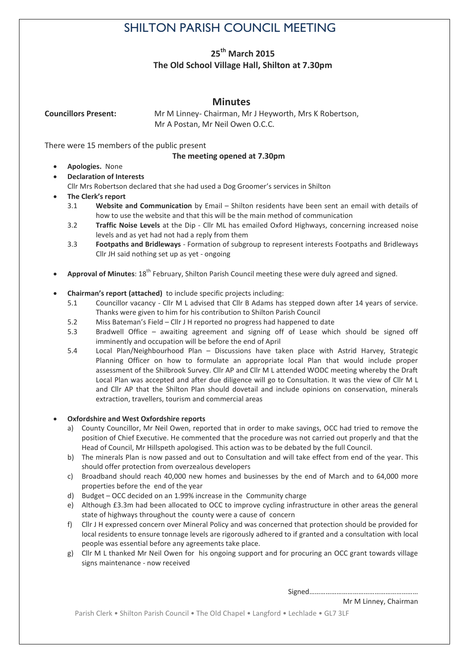# SHILTON PARISH COUNCIL MEETING

# **25th March 2015 The Old School Village Hall, Shilton at 7.30pm**

# **Minutes**

**Councillors Present:** Mr M Linney- Chairman, Mr J Heyworth, Mrs K Robertson, Mr A Postan, Mr Neil Owen O.C.C.

There were 15 members of the public present

### **The meeting opened at 7.30pm**

- **Apologies.** None
- **Declaration of Interests**  Cllr Mrs Robertson declared that she had used a Dog Groomer's services in Shilton
- **The Clerk's report**
	- 3.1 **Website and Communication** by Email Shilton residents have been sent an email with details of how to use the website and that this will be the main method of communication
	- 3.2 **Traffic Noise Levels** at the Dip Cllr ML has emailed Oxford Highways, concerning increased noise levels and as yet had not had a reply from them
	- 3.3 **Footpaths and Bridleways** Formation of subgroup to represent interests Footpaths and Bridleways Cllr JH said nothing set up as yet - ongoing
- Approval of Minutes: 18<sup>th</sup> February, Shilton Parish Council meeting these were duly agreed and signed.
- **Chairman's report (attached)** to include specific projects including:
	- 5.1 Councillor vacancy Cllr M L advised that Cllr B Adams has stepped down after 14 years of service. Thanks were given to him for his contribution to Shilton Parish Council
	- 5.2 Miss Bateman's Field Cllr J H reported no progress had happened to date
	- 5.3 Bradwell Office awaiting agreement and signing off of Lease which should be signed off imminently and occupation will be before the end of April
	- 5.4 Local Plan/Neighbourhood Plan Discussions have taken place with Astrid Harvey, Strategic Planning Officer on how to formulate an appropriate local Plan that would include proper assessment of the Shilbrook Survey. Cllr AP and Cllr M L attended WODC meeting whereby the Draft Local Plan was accepted and after due diligence will go to Consultation. It was the view of Cllr M L and Cllr AP that the Shilton Plan should dovetail and include opinions on conservation, minerals extraction, travellers, tourism and commercial areas

#### **Oxfordshire and West Oxfordshire reports**

- a) County Councillor, Mr Neil Owen, reported that in order to make savings, OCC had tried to remove the position of Chief Executive. He commented that the procedure was not carried out properly and that the Head of Council, Mr Hillspeth apologised. This action was to be debated by the full Council.
- b) The minerals Plan is now passed and out to Consultation and will take effect from end of the year. This should offer protection from overzealous developers
- c) Broadband should reach 40,000 new homes and businesses by the end of March and to 64,000 more properties before the end of the year
- d) Budget OCC decided on an 1.99% increase in the Community charge
- e) Although £3.3m had been allocated to OCC to improve cycling infrastructure in other areas the general state of highways throughout the county were a cause of concern
- f) Cllr J H expressed concern over Mineral Policy and was concerned that protection should be provided for local residents to ensure tonnage levels are rigorously adhered to if granted and a consultation with local people was essential before any agreements take place.
- g) Cllr M L thanked Mr Neil Owen for his ongoing support and for procuring an OCC grant towards village signs maintenance - now received

Signed……………………………………………………

Mr M Linney, Chairman

Parish Clerk • Shilton Parish Council • The Old Chapel • Langford • Lechlade • GL7 3LF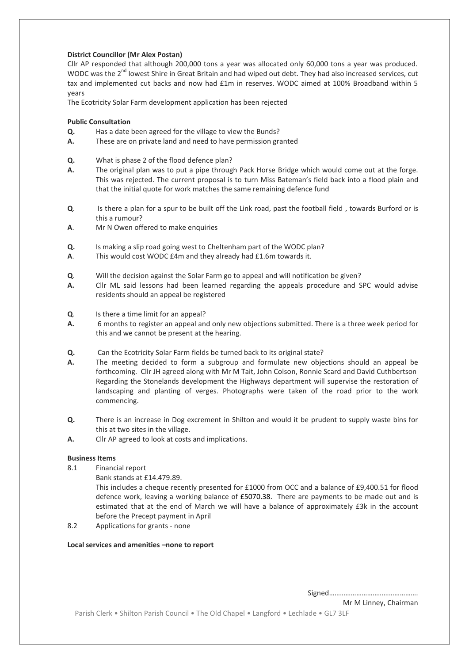#### **District Councillor (Mr Alex Postan)**

Cllr AP responded that although 200,000 tons a year was allocated only 60,000 tons a year was produced. WODC was the 2<sup>nd</sup> lowest Shire in Great Britain and had wiped out debt. They had also increased services, cut tax and implemented cut backs and now had £1m in reserves. WODC aimed at 100% Broadband within 5 years

The Ecotricity Solar Farm development application has been rejected

#### **Public Consultation**

- **Q.** Has a date been agreed for the village to view the Bunds?
- **A.** These are on private land and need to have permission granted
- **Q.** What is phase 2 of the flood defence plan?
- **A.** The original plan was to put a pipe through Pack Horse Bridge which would come out at the forge. This was rejected. The current proposal is to turn Miss Bateman's field back into a flood plain and that the initial quote for work matches the same remaining defence fund
- **Q**. Is there a plan for a spur to be built off the Link road, past the football field , towards Burford or is this a rumour?
- **A**. Mr N Owen offered to make enquiries
- **Q.** Is making a slip road going west to Cheltenham part of the WODC plan?
- **A**. This would cost WODC £4m and they already had £1.6m towards it.
- **Q**. Will the decision against the Solar Farm go to appeal and will notification be given?
- **A.** Cllr ML said lessons had been learned regarding the appeals procedure and SPC would advise residents should an appeal be registered
- **Q**. Is there a time limit for an appeal?
- **A.** 6 months to register an appeal and only new objections submitted. There is a three week period for this and we cannot be present at the hearing.
- **Q.** Can the Ecotricity Solar Farm fields be turned back to its original state?
- **A.** The meeting decided to form a subgroup and formulate new objections should an appeal be forthcoming. Cllr JH agreed along with Mr M Tait, John Colson, Ronnie Scard and David Cuthbertson Regarding the Stonelands development the Highways department will supervise the restoration of landscaping and planting of verges. Photographs were taken of the road prior to the work commencing.
- **Q.** There is an increase in Dog excrement in Shilton and would it be prudent to supply waste bins for this at two sites in the village.
- **A.** Cllr AP agreed to look at costs and implications.

#### **Business Items**

- 8.1 Financial report
	- Bank stands at £14.479.89.

This includes a cheque recently presented for £1000 from OCC and a balance of £9,400.51 for flood defence work, leaving a working balance of £5070.38. There are payments to be made out and is estimated that at the end of March we will have a balance of approximately £3k in the account before the Precept payment in April

8.2 Applications for grants - none

#### **Local services and amenities –none to report**

Signed………………………………………….

Mr M Linney, Chairman

Parish Clerk • Shilton Parish Council • The Old Chapel • Langford • Lechlade • GL7 3LF